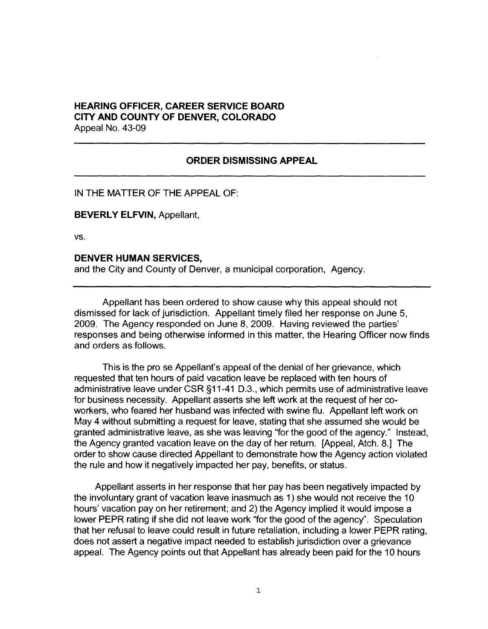## **HEARING OFFICER, CAREER SERVICE BOARD CITY AND COUNTY OF DENVER, COLORADO**  Appeal No. 43-09

## **ORDER DISMISSING APPEAL**

IN THE MATTER OF THE APPEAL OF:

**BEVERLY ELFVIN,** Appellant,

vs.

## **DENVER HUMAN SERVICES,**

and the City and County of Denver, a municipal corporation, Agency.

Appellant has been ordered to show cause why this appeal should not dismissed for lack of jurisdiction. Appellant timely filed her response on June 5, 2009. The Agency responded on June 8, 2009. Having reviewed the parties' responses and being otherwise informed in this matter, the Hearing Officer now finds and orders as follows.

This is the pro se Appellant's appeal of the denial of her grievance, which requested that ten hours of paid vacation leave be replaced with ten hours of administrative leave under CSR §11-41 D.3., which permits use of administrative leave for business necessity. Appellant asserts she left work at the request of her coworkers, who feared her husband was infected with swine flu. Appellant left work on May 4 without submitting a request for leave, stating that she assumed she would be granted administrative leave, as she was leaving "for the good of the agency." Instead, the Agency granted vacation leave on the day of her return. [Appeal, Atch. 8.] The order to show cause directed Appellant to demonstrate how the Agency action violated the rule and how it negatively impacted her pay, benefits, or status.

Appellant asserts in her response that her pay has been negatively impacted by the involuntary grant of vacation leave inasmuch as 1) she would not receive the 10 hours' vacation pay on her retirement; and 2) the Agency implied it would impose a lower PEPR rating if she did not leave work ''for the good of the agency". Speculation that her refusal to leave could result in future retaliation, including a lower PEPR rating, does not assert a negative impact needed to establish jurisdiction over a grievance appeal. The Agency points out that Appellant has already been paid for the 10 hours